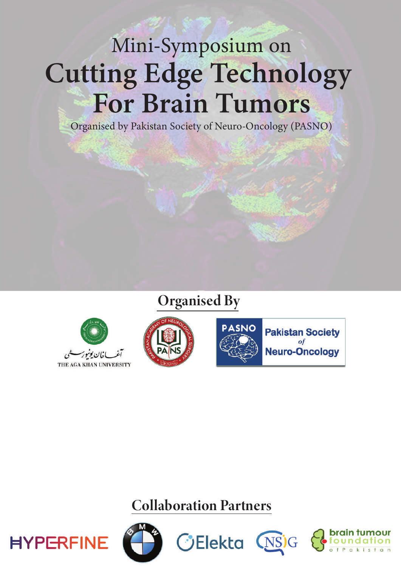# Mini-Symposium on Cutting Edge Technology **For Brain Tumors**

Organised by Pakistan Society of Neuro-Oncology (PASNO)

### **Organised By**







**Pakistan Society** of **Neuro-Oncology** 

### **Collaboration Partners**







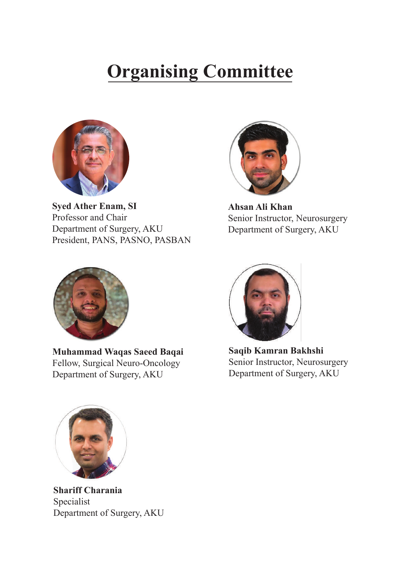# **Organising Committee**



**Syed Ather Enam, SI** Professor and Chair Department of Surgery, AKU President, PANS, PASNO, PASBAN



**Ahsan Ali Khan** Senior Instructor, Neurosurgery Department of Surgery, AKU



**Muhammad Waqas Saeed Baqai** Fellow, Surgical Neuro-Oncology Department of Surgery, AKU



**Saqib Kamran Bakhshi** Senior Instructor, Neurosurgery Department of Surgery, AKU



**Shariff Charania** Specialist Department of Surgery, AKU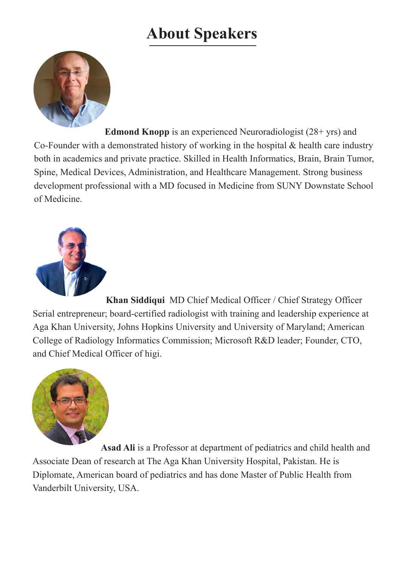## **About Speakers**



 **Edmond Knopp** is an experienced Neuroradiologist (28+ yrs) and Co-Founder with a demonstrated history of working in the hospital & health care industry both in academics and private practice. Skilled in Health Informatics, Brain, Brain Tumor, Spine, Medical Devices, Administration, and Healthcare Management. Strong business development professional with a MD focused in Medicine from SUNY Downstate School of Medicine.



 **Khan Siddiqui** MD Chief Medical Officer / Chief Strategy Officer Serial entrepreneur; board-certified radiologist with training and leadership experience at Aga Khan University, Johns Hopkins University and University of Maryland; American College of Radiology Informatics Commission; Microsoft R&D leader; Founder, CTO, and Chief Medical Officer of higi.



 **Asad Ali** is a Professor at department of pediatrics and child health and Associate Dean of research at The Aga Khan University Hospital, Pakistan. He is Diplomate, American board of pediatrics and has done Master of Public Health from Vanderbilt University, USA.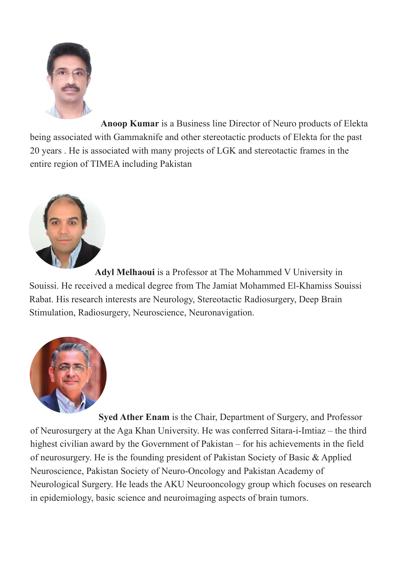

 **Anoop Kumar** is a Business line Director of Neuro products of Elekta being associated with Gammaknife and other stereotactic products of Elekta for the past 20 years . He is associated with many projects of LGK and stereotactic frames in the entire region of TIMEA including Pakistan



 **Adyl Melhaoui** is a Professor at The Mohammed V University in Souissi. He received a medical degree from The Jamiat Mohammed El-Khamiss Souissi Rabat. His research interests are Neurology, Stereotactic Radiosurgery, Deep Brain Stimulation, Radiosurgery, Neuroscience, Neuronavigation.



 **Syed Ather Enam** is the Chair, Department of Surgery, and Professor of Neurosurgery at the Aga Khan University. He was conferred Sitara-i-Imtiaz – the third highest civilian award by the Government of Pakistan – for his achievements in the field of neurosurgery. He is the founding president of Pakistan Society of Basic & Applied Neuroscience, Pakistan Society of Neuro-Oncology and Pakistan Academy of Neurological Surgery. He leads the AKU Neurooncology group which focuses on research in epidemiology, basic science and neuroimaging aspects of brain tumors.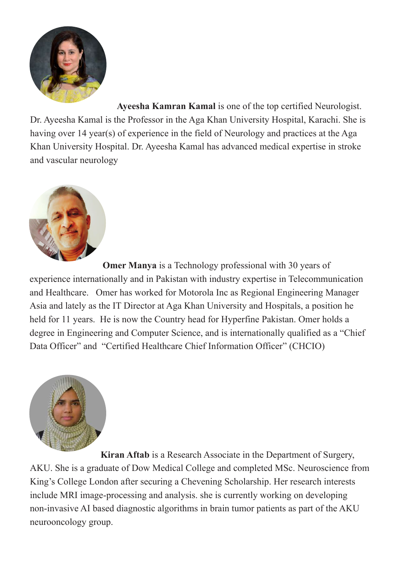

 **Ayeesha Kamran Kamal** is one of the top certified Neurologist. Dr. Ayeesha Kamal is the Professor in the Aga Khan University Hospital, Karachi. She is having over 14 year(s) of experience in the field of Neurology and practices at the Aga Khan University Hospital. Dr. Ayeesha Kamal has advanced medical expertise in stroke and vascular neurology



**Omer Manya** is a Technology professional with 30 years of experience internationally and in Pakistan with industry expertise in Telecommunication and Healthcare. Omer has worked for Motorola Inc as Regional Engineering Manager Asia and lately as the IT Director at Aga Khan University and Hospitals, a position he held for 11 years. He is now the Country head for Hyperfine Pakistan. Omer holds a degree in Engineering and Computer Science, and is internationally qualified as a "Chief Data Officer" and "Certified Healthcare Chief Information Officer" (CHCIO)



 **Kiran Aftab** is a Research Associate in the Department of Surgery, AKU. She is a graduate of Dow Medical College and completed MSc. Neuroscience from King's College London after securing a Chevening Scholarship. Her research interests include MRI image-processing and analysis. she is currently working on developing non-invasive AI based diagnostic algorithms in brain tumor patients as part of the AKU neurooncology group.